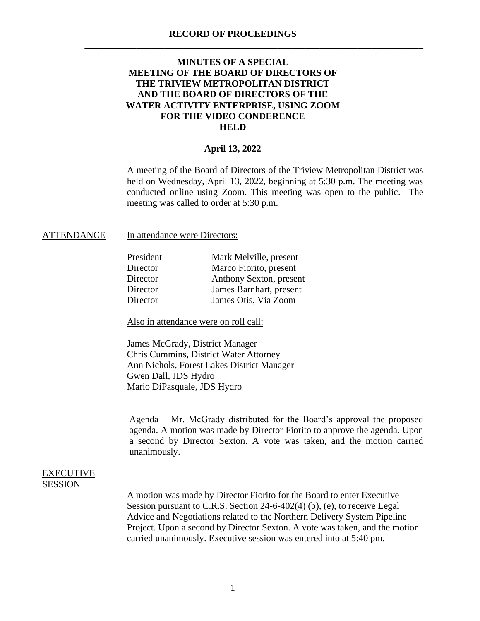**\_\_\_\_\_\_\_\_\_\_\_\_\_\_\_\_\_\_\_\_\_\_\_\_\_\_\_\_\_\_\_\_\_\_\_\_\_\_\_\_\_\_\_\_\_\_\_\_\_\_\_\_\_\_\_\_\_\_\_\_\_\_\_\_\_\_\_\_\_\_\_\_**

## **MINUTES OF A SPECIAL MEETING OF THE BOARD OF DIRECTORS OF THE TRIVIEW METROPOLITAN DISTRICT AND THE BOARD OF DIRECTORS OF THE WATER ACTIVITY ENTERPRISE, USING ZOOM FOR THE VIDEO CONDERENCE HELD**

## **April 13, 2022**

A meeting of the Board of Directors of the Triview Metropolitan District was held on Wednesday, April 13, 2022, beginning at 5:30 p.m. The meeting was conducted online using Zoom. This meeting was open to the public. The meeting was called to order at 5:30 p.m.

## ATTENDANCE In attendance were Directors:

| Mark Melville, present  |
|-------------------------|
| Marco Fiorito, present  |
| Anthony Sexton, present |
| James Barnhart, present |
| James Otis, Via Zoom    |
|                         |

Also in attendance were on roll call:

James McGrady, District Manager Chris Cummins, District Water Attorney Ann Nichols, Forest Lakes District Manager Gwen Dall, JDS Hydro Mario DiPasquale, JDS Hydro

Agenda – Mr. McGrady distributed for the Board's approval the proposed agenda. A motion was made by Director Fiorito to approve the agenda. Upon a second by Director Sexton. A vote was taken, and the motion carried unanimously.

## EXECUTIVE **SESSION**

A motion was made by Director Fiorito for the Board to enter Executive Session pursuant to C.R.S. Section 24-6-402(4) (b), (e), to receive Legal Advice and Negotiations related to the Northern Delivery System Pipeline Project. Upon a second by Director Sexton. A vote was taken, and the motion carried unanimously. Executive session was entered into at 5:40 pm.